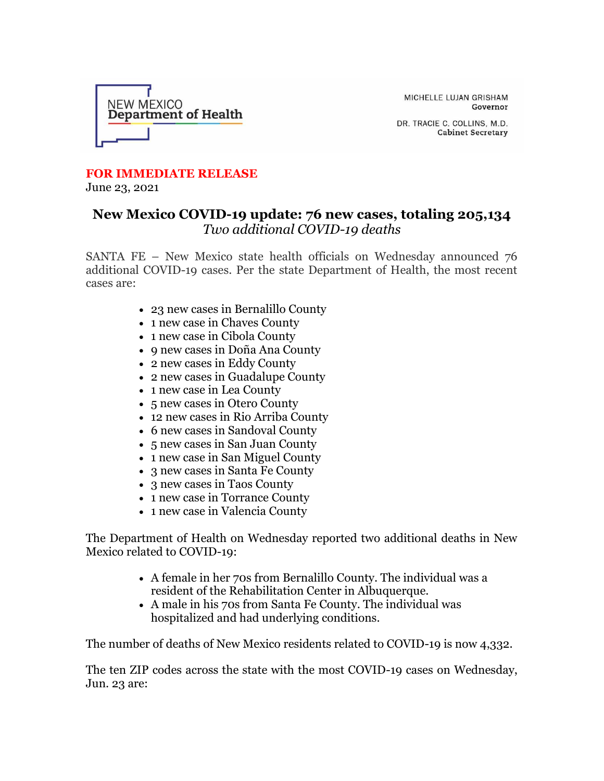

MICHELLE LUJAN GRISHAM Governor

DR. TRACIE C. COLLINS, M.D. **Cabinet Secretary** 

## **FOR IMMEDIATE RELEASE**

June 23, 2021

## **New Mexico COVID-19 update: 76 new cases, totaling 205,134** *Two additional COVID-19 deaths*

SANTA FE – New Mexico state health officials on Wednesday announced 76 additional COVID-19 cases. Per the state Department of Health, the most recent cases are:

- 23 new cases in Bernalillo County
- 1 new case in Chaves County
- 1 new case in Cibola County
- 9 new cases in Doña Ana County
- 2 new cases in Eddy County
- 2 new cases in Guadalupe County
- 1 new case in Lea County
- 5 new cases in Otero County
- 12 new cases in Rio Arriba County
- 6 new cases in Sandoval County
- 5 new cases in San Juan County
- 1 new case in San Miguel County
- 3 new cases in Santa Fe County
- 3 new cases in Taos County
- 1 new case in Torrance County
- 1 new case in Valencia County

The Department of Health on Wednesday reported two additional deaths in New Mexico related to COVID-19:

- A female in her 70s from Bernalillo County. The individual was a resident of the Rehabilitation Center in Albuquerque.
- A male in his 70s from Santa Fe County. The individual was hospitalized and had underlying conditions.

The number of deaths of New Mexico residents related to COVID-19 is now 4,332.

The ten ZIP codes across the state with the most COVID-19 cases on Wednesday, Jun. 23 are: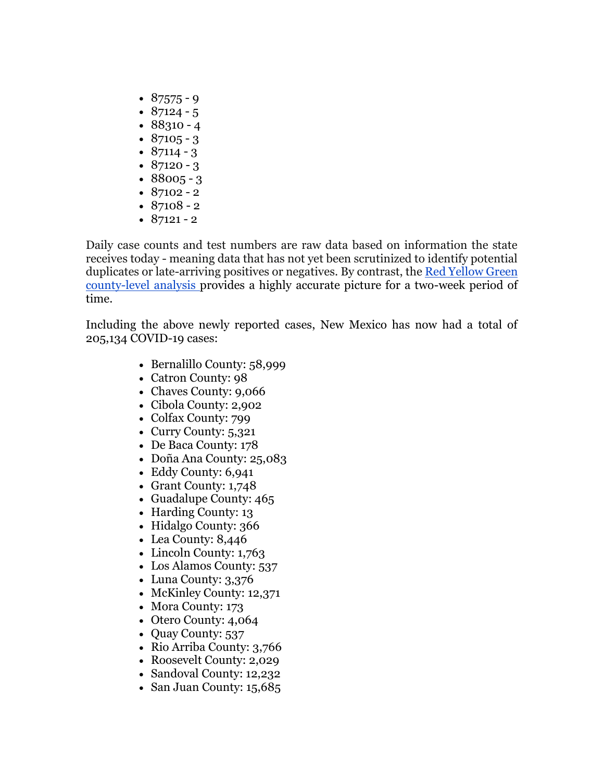- $87575 9$
- $87124 5$
- $88310 4$
- $87105 3$
- $87114 3$
- $87120 3$
- $88005 3$
- $87102 2$
- $87108 2$
- $87121 2$

Daily case counts and test numbers are raw data based on information the state receives today - meaning data that has not yet been scrutinized to identify potential duplicates or late-arriving positives or negatives. By contrast, th[e](https://r20.rs6.net/tn.jsp?f=001QGelNz-ZLqCRf1DK5SvvKOYqMJJDh7geSwxne27G1cZ4zwmBcSxwFs1xQqTJSrHzU5shmkwEZXTgdGUv4fMGDjX6y-o-BmfqjYHX34k2GCEVoDtCr0OTgm2MQwfMxxY1JoDVf1KbG65SwCbi1CsP_4YqhrpoF36h9JXqvBjw1Ta8TyFv8WdtmSMlK86FHbX935q3pjjxlqFgErhADULQWqBf4Aqmvpnt&c=a8kW7UPk_USbzQvVxdbW-G1cdi21cMJfIUQEQaZHQfCaCREODcQhdw==&ch=P1bS1pnw_OMlhIb5WdMMqIE2IRbXFCJzgEWhcBspAxh8-bdQ1B_iqA==) [Red Yellow Green](https://r20.rs6.net/tn.jsp?f=001QGelNz-ZLqCRf1DK5SvvKOYqMJJDh7geSwxne27G1cZ4zwmBcSxwFs1xQqTJSrHzU5shmkwEZXTgdGUv4fMGDjX6y-o-BmfqjYHX34k2GCEVoDtCr0OTgm2MQwfMxxY1JoDVf1KbG65SwCbi1CsP_4YqhrpoF36h9JXqvBjw1Ta8TyFv8WdtmSMlK86FHbX935q3pjjxlqFgErhADULQWqBf4Aqmvpnt&c=a8kW7UPk_USbzQvVxdbW-G1cdi21cMJfIUQEQaZHQfCaCREODcQhdw==&ch=P1bS1pnw_OMlhIb5WdMMqIE2IRbXFCJzgEWhcBspAxh8-bdQ1B_iqA==)  [county-level analysis](https://r20.rs6.net/tn.jsp?f=001QGelNz-ZLqCRf1DK5SvvKOYqMJJDh7geSwxne27G1cZ4zwmBcSxwFs1xQqTJSrHzU5shmkwEZXTgdGUv4fMGDjX6y-o-BmfqjYHX34k2GCEVoDtCr0OTgm2MQwfMxxY1JoDVf1KbG65SwCbi1CsP_4YqhrpoF36h9JXqvBjw1Ta8TyFv8WdtmSMlK86FHbX935q3pjjxlqFgErhADULQWqBf4Aqmvpnt&c=a8kW7UPk_USbzQvVxdbW-G1cdi21cMJfIUQEQaZHQfCaCREODcQhdw==&ch=P1bS1pnw_OMlhIb5WdMMqIE2IRbXFCJzgEWhcBspAxh8-bdQ1B_iqA==) provides a highly accurate picture for a two-week period of time.

Including the above newly reported cases, New Mexico has now had a total of 205,134 COVID-19 cases:

- Bernalillo County: 58,999
- Catron County: 98
- Chaves County: 9,066
- Cibola County: 2,902
- Colfax County: 799
- Curry County: 5,321
- De Baca County: 178
- Doña Ana County: 25,083
- Eddy County: 6,941
- Grant County: 1,748
- Guadalupe County: 465
- Harding County: 13
- Hidalgo County: 366
- Lea County: 8,446
- Lincoln County: 1,763
- Los Alamos County: 537
- Luna County: 3,376
- McKinley County: 12,371
- Mora County: 173
- Otero County: 4,064
- Quay County: 537
- Rio Arriba County: 3,766
- Roosevelt County: 2,029
- Sandoval County: 12,232
- San Juan County: 15,685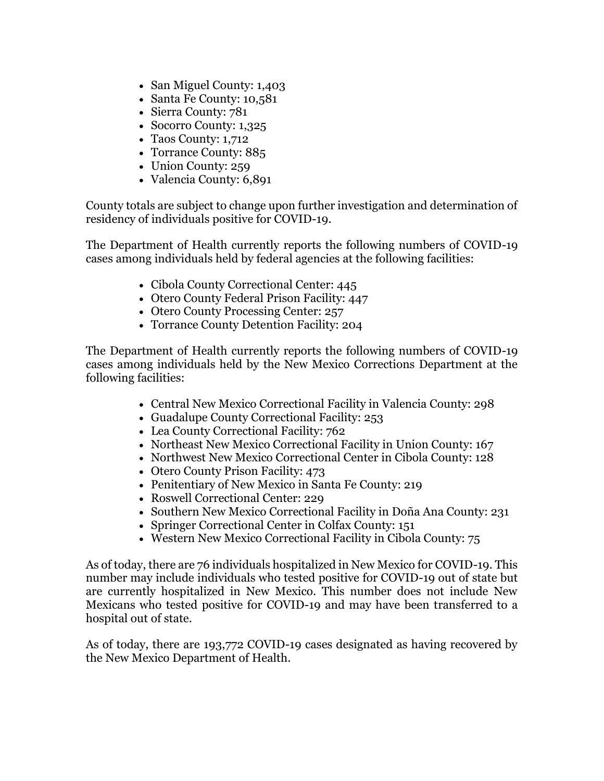- San Miguel County: 1,403
- Santa Fe County: 10,581
- Sierra County: 781
- Socorro County: 1,325
- Taos County: 1,712
- Torrance County: 885
- Union County: 259
- Valencia County: 6,891

County totals are subject to change upon further investigation and determination of residency of individuals positive for COVID-19.

The Department of Health currently reports the following numbers of COVID-19 cases among individuals held by federal agencies at the following facilities:

- Cibola County Correctional Center: 445
- Otero County Federal Prison Facility: 447
- Otero County Processing Center: 257
- Torrance County Detention Facility: 204

The Department of Health currently reports the following numbers of COVID-19 cases among individuals held by the New Mexico Corrections Department at the following facilities:

- Central New Mexico Correctional Facility in Valencia County: 298
- Guadalupe County Correctional Facility: 253
- Lea County Correctional Facility: 762
- Northeast New Mexico Correctional Facility in Union County: 167
- Northwest New Mexico Correctional Center in Cibola County: 128
- Otero County Prison Facility: 473
- Penitentiary of New Mexico in Santa Fe County: 219
- Roswell Correctional Center: 229
- Southern New Mexico Correctional Facility in Doña Ana County: 231
- Springer Correctional Center in Colfax County: 151
- Western New Mexico Correctional Facility in Cibola County: 75

As of today, there are 76 individuals hospitalized in New Mexico for COVID-19. This number may include individuals who tested positive for COVID-19 out of state but are currently hospitalized in New Mexico. This number does not include New Mexicans who tested positive for COVID-19 and may have been transferred to a hospital out of state.

As of today, there are 193,772 COVID-19 cases designated as having recovered by the New Mexico Department of Health.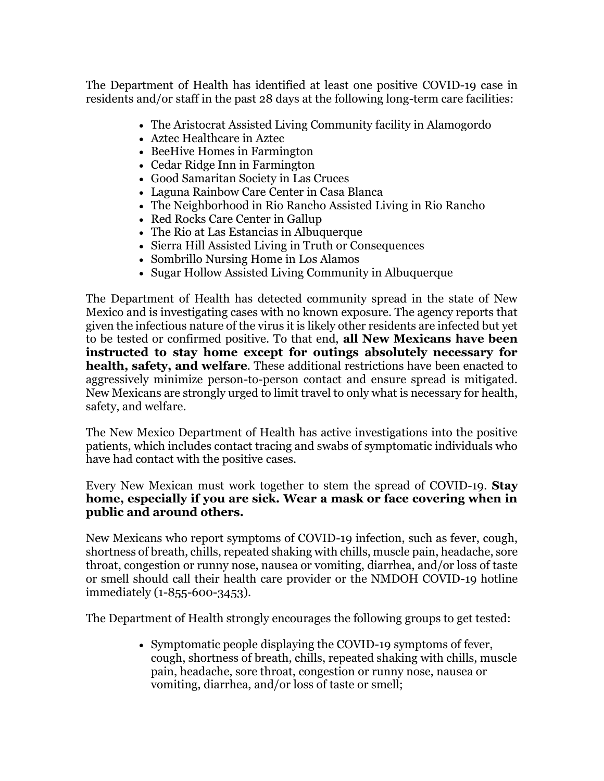The Department of Health has identified at least one positive COVID-19 case in residents and/or staff in the past 28 days at the following long-term care facilities:

- The Aristocrat Assisted Living Community facility in Alamogordo
- Aztec Healthcare in Aztec
- BeeHive Homes in Farmington
- Cedar Ridge Inn in Farmington
- Good Samaritan Society in Las Cruces
- Laguna Rainbow Care Center in Casa Blanca
- The Neighborhood in Rio Rancho Assisted Living in Rio Rancho
- Red Rocks Care Center in Gallup
- The Rio at Las Estancias in Albuquerque
- Sierra Hill Assisted Living in Truth or Consequences
- Sombrillo Nursing Home in Los Alamos
- Sugar Hollow Assisted Living Community in Albuquerque

The Department of Health has detected community spread in the state of New Mexico and is investigating cases with no known exposure. The agency reports that given the infectious nature of the virus it is likely other residents are infected but yet to be tested or confirmed positive. To that end, **all New Mexicans have been instructed to stay home except for outings absolutely necessary for health, safety, and welfare**. These additional restrictions have been enacted to aggressively minimize person-to-person contact and ensure spread is mitigated. New Mexicans are strongly urged to limit travel to only what is necessary for health, safety, and welfare.

The New Mexico Department of Health has active investigations into the positive patients, which includes contact tracing and swabs of symptomatic individuals who have had contact with the positive cases.

Every New Mexican must work together to stem the spread of COVID-19. **Stay home, especially if you are sick. Wear a mask or face covering when in public and around others.**

New Mexicans who report symptoms of COVID-19 infection, such as fever, cough, shortness of breath, chills, repeated shaking with chills, muscle pain, headache, sore throat, congestion or runny nose, nausea or vomiting, diarrhea, and/or loss of taste or smell should call their health care provider or the NMDOH COVID-19 hotline immediately (1-855-600-3453).

The Department of Health strongly encourages the following groups to get tested:

• Symptomatic people displaying the COVID-19 symptoms of fever, cough, shortness of breath, chills, repeated shaking with chills, muscle pain, headache, sore throat, congestion or runny nose, nausea or vomiting, diarrhea, and/or loss of taste or smell;